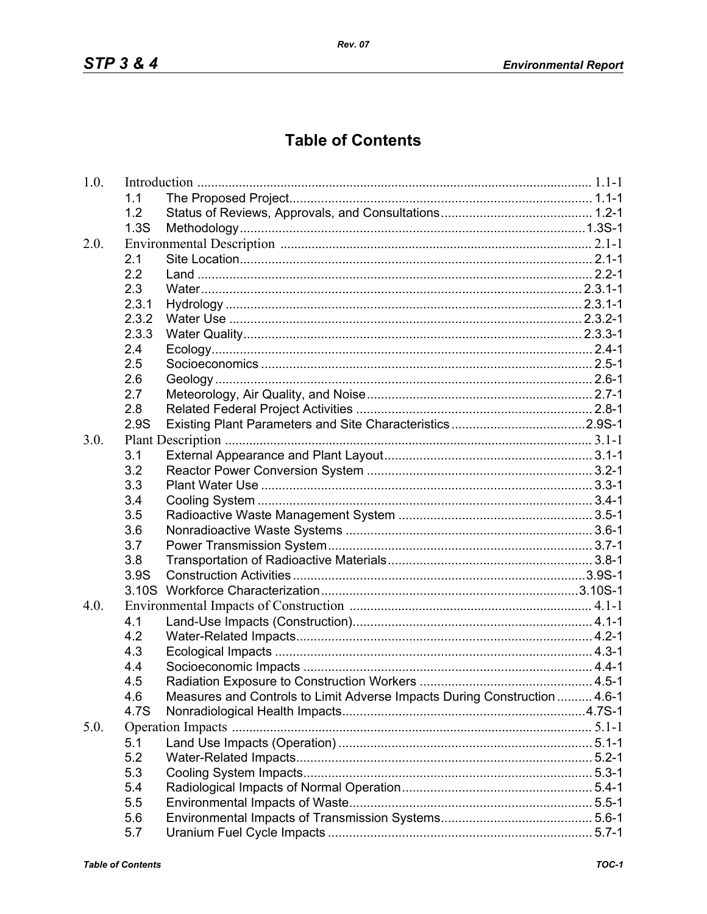## **Table of Contents**

| 1.0. |                   |                                                                           |  |
|------|-------------------|---------------------------------------------------------------------------|--|
|      | 1.1               |                                                                           |  |
|      | 1.2               |                                                                           |  |
|      | 1.3S              |                                                                           |  |
| 2.0. |                   |                                                                           |  |
|      | 2.1               |                                                                           |  |
|      | 2.2               |                                                                           |  |
|      | 2.3               |                                                                           |  |
|      | 2.3.1             |                                                                           |  |
|      | 2.3.2             |                                                                           |  |
|      | 2.3.3             |                                                                           |  |
|      | 2.4               |                                                                           |  |
|      | 2.5               |                                                                           |  |
|      | 2.6               |                                                                           |  |
|      | 2.7               |                                                                           |  |
|      | 2.8               |                                                                           |  |
|      | 2.9S              |                                                                           |  |
| 3.0. |                   |                                                                           |  |
|      | 3.1               |                                                                           |  |
|      | 3.2               |                                                                           |  |
|      | 3.3               |                                                                           |  |
|      | 3.4               |                                                                           |  |
|      | 3.5               |                                                                           |  |
|      | 3.6               |                                                                           |  |
|      | 3.7               |                                                                           |  |
|      | 3.8               |                                                                           |  |
|      | 3.9S              |                                                                           |  |
|      | 3.10 <sub>S</sub> |                                                                           |  |
| 4.0. |                   |                                                                           |  |
|      | 4.1               |                                                                           |  |
|      | 4.2               |                                                                           |  |
|      | 4.3               |                                                                           |  |
|      | 4.4               |                                                                           |  |
|      | 4.5               |                                                                           |  |
|      | 4.6               | Measures and Controls to Limit Adverse Impacts During Construction  4.6-1 |  |
|      | 4.7S              |                                                                           |  |
| 5.0. |                   |                                                                           |  |
|      | 5.1               |                                                                           |  |
|      | 5.2               |                                                                           |  |
|      | 5.3               |                                                                           |  |
|      | 5.4               |                                                                           |  |
|      | 5.5               |                                                                           |  |
|      | 5.6               |                                                                           |  |
|      | 5.7               |                                                                           |  |
|      |                   |                                                                           |  |